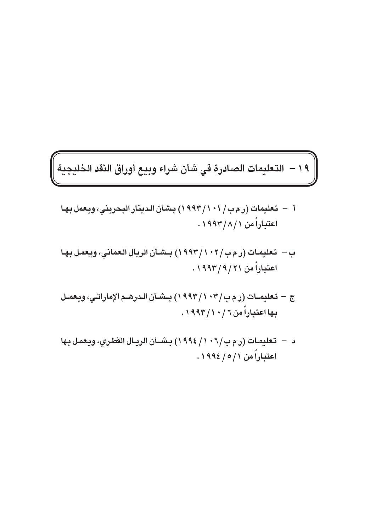## ١٩ – التعليمات الصادرة في شأن شراء وبيع أوراق النقد الخليجية

- أ تعليمات (ر م ب / ١٠١ / ١٩٩٣) بشأن الدينار البحريني، ويعمل بها اعتباراً من ١٩٩٣/٨/١.
- ب تعليمات (ر م ب/ ١٠٢/ ١٩٩٣) بـشـأن الريال العماني، ويعمل بها اعتباراً من ٢١/٩/٦٩٣ .
- ج تعليمـــات (ر م ب / ١٠٣ / ١٩٩٣) بــشــأن الـدرهــم الإماراتــى، ويـعمــل بِها اعتباراً من ٦ / ١ / ١٩٩٣ .
- د تعليمات (ر م ب/١٠٦/ ١٩٩٤) بشـأن الريـال القطري، ويعمل بها اعتباراً من ١ / ٥ / ١٩٩٤ .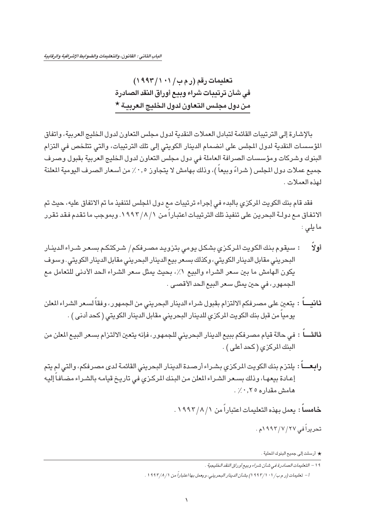<span id="page-1-0"></span>تعليمات رقم (رم ب / ١٠١/١٩٩٣) في شأن ترتيبات شراء ويبع أوراق النقد الصادرة من دول مجلس التعاون لدول الخليج العربية \*

بالإشارة إلى الترتيبات القائمة لتبادل العملات النقدية لدول مجلس التعاون لدول الخليج العربية، واتفاق المؤسسات النقدية لدول المجلس على انضمام الدينار الكويتي إلى تلك الترتيبات، والتي تتلخص في التزام البنوك وشركات ومؤسسات الصرافة العاملة فى دول مجلس التعاون لدول الخليج العربية بقبول وصرف جميع عملات دول المجلس ( شراءً وبيعاً )، وذلك بهامش لا يتجاوز ٠,٥٪ من أسـعار الصـرف اليومية المعلنة لهذه العملات .

فقد قام بنك الكويت المركزي بالبدء في إجراء ترتيبات مـع دول المجلس لتنفيذ ما تم الاتفاق عليه، حيث تم الاتفاق مـع دولـة البحرين على تنفيذ تلك الترتيبات اعتباراً مـن ١٩٩٣/٨/١. وبموجب ما تقدم فقد تقرر ما يلى :

- : سيقوم بنك الكويت المركزي بشكل يومى بتزويد مصرفكم/ شركتكم بسعر شـراء الدينار أولاً البحريني مقابل الدينار الكويتي، وكذلك بسعر بيع الدينار البحريني مقابل الدينار الكويتي. وسوف يكون الهامش ما بين سعر الشراء والبيع ١٪، بحيث يمثل سعر الشراء الحد الأدنى للتعامل مع الجمهور، في حين يمثل سعر البيع الحد الأقصى .
- يومياً من قبل بنك الكويت المركزى للدينار البحرينى مقابل الدينار الكويتى ( كحد أدنى ) .
- **ثالثــــاً : في حالة قيام مصرفكم ببيع الدينار البحريني للجمهور، فإنه يتعين الالتزام بسعر البيـع الملن من** البنك المركزي (كحد أعلى ) .
- رابعــــاً : يلتزم بنك الكويت المركزي بشـراء أرصـدة الدينـار البحريني القائمة لدى مصرفكم، والتي لم يتم إعادة بيعهـا، وذلك بسـعر الشـراء المعلن من البنك المركـزي في تاريخ قيامـه بالشـراء مضـافـاً إليـه هامش مقدار ه ۲۰٫۲۰.

خامساً : يعمل بهذه التعليمات اعتباراً من ١٩٩٢/٨/١.

تحريراً في ١٩٩٣/٧/٢٧ ٥م .

★ أرسلت إلى جميع البنوك المحلية .

<sup>1</sup> ١ – التعليمات الصادرة في شأن شراء وبيع أوراق النقد الخليجية .

أ - تعليمات (ربم ب/١٠١/١٩٩٣) بشأن الدينار البحريني، ويعمل بها اعتباراً من ١/٨/١٩٩١.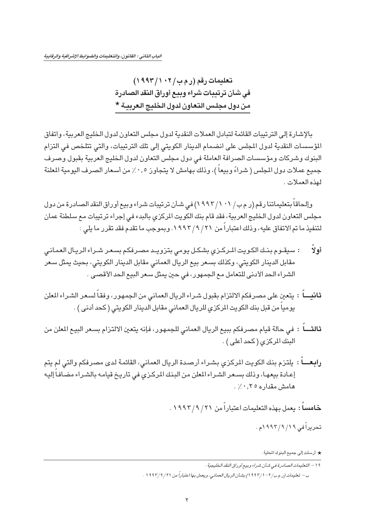<span id="page-2-0"></span>تعليمات رقم (رم ب / ١٠٢/١٩٩٣) في شأن ترتيبات شراء ويبع أوراق النقد الصادرة من دول مجلس التعاون لدول الخليج العربية \*

بالإشارة إلى الترتيبات القائمة لتبادل العملات النقدية لدول مجلس التعاون لدول الخليج العربية، واتفاق المؤسسات النقدية لدول المجلس على انضمام الدينار الكويتي إلى تلك الترتيبات، والتي تتلخص في التزام البنوك وشركات ومؤسسات الصرافة العاملة فى دول مجلس التعاون لدول الخليج العربية بقبول وصرف جميع عملات دول المجلس ( شراءً وبيعاً )، وذلك بهامش لا يتجاوز ٠,٥٪ من أسعار الصرف اليومية المعلنة لهذه العملات .

وإلحاقاً بتعليماتنا رقم (ر م ب/ ١٠١/ ١٩٩٢) في شـأن ترتيبات شـراء وبيـم أوراق النقد الصـادرة من دول مجلس التعاون لدول الخليج العربية، فقد قام بنك الكويت المركزي بالبدء في إجراء ترتيبات مع سلطنة عمان لتنفيذ ما تم الاتفاق عليه، وذلك اعتباراً من ٢١/ ٩/ ١٩٩٣. وبموجب ما تقدم فقد تقرر ما يلي :

- : سيقـوم بنـك الكـويت المـركـزي بشكـل يومى بتزويـد مصـرفكم بسـعـر شـراء الريـال العمـانـي أولا مقابل الدينار الكويتي، وكذلك بسعر بيع الريال العماني مقابل الدينار الكويتي، بحيث يمثل سعر الشراء الحد الأدنى للتعامل مع الجمهور، في حين يمثل سعر البيع الحد الأقصى .
- **ثانيـــاً : يتع**ين على مصـرفكم الالتزام بقبول شـراء الريال العماني من الجمـهور، وفقـاً لسـعر الشـراء المعلن يومياً من قبل بنك الكويت المركزى للريال العمانى مقابل الدينار الكويتى ( كحد أدنى ) .
- **ثالثـــاً : في حالة قيام مصرفكم ببيع الريال العماني للجمهور، فإنه يتعين الالتزام بسعر البيـع المعلن من** البنك المركزي (كحد أعلى ) .
- **رابعــــاً** : يلتـزم بنك الكويت المركزي بشـراء أرصـدة الريال العماني، القائمة لدى مصـرفكم والتي لم يتم إعادة بيعهـا، وذلك بسـعر الشـراء المعلن من البنك المركـزي في تاريخ قيامه بالشـراء مضـافـاً إليه هامش مقداره ۲۰٫۲۰٪ .

خامساً : يعمل يهذه التعليمات اعتباراً من ٢١/ ٩/ ١٩٩٢. تحريراً في ١٩٩٣/٩/١٩ ١م .

★ أرسلت إلى جميع البنوك المحلية .

<sup>1</sup> ١ - التعليمات الصادرة في شأن شراء وبيع أوراق النقد الخليجية .

ب – تعليمات (ر م ب/ ٢ ٠ ١ / ١٩٩٣) بشئان الريال العماني، ويعمل بها اعتباراً من ١٩ / ٩ / ٩ / ١ .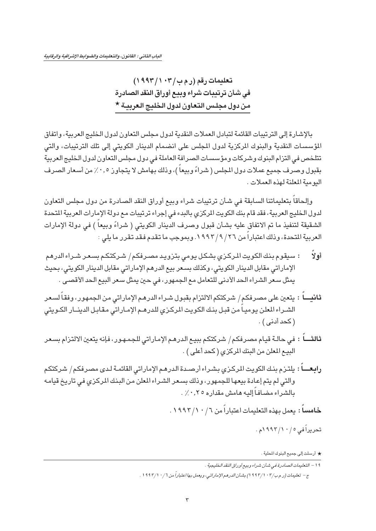<span id="page-3-0"></span>تعليمات رقم (رم ب / ١٠٣/ ١٩٩٣) في شأن ترتيبات شراء ويبع أوراق النقد الصادرة من دول مجلس التعاون لدول الخليج العربية \*

بالإشارة إلى الترتيبات القائمة لتبادل العملات النقدية لدول مجلس التعاون لدول الخليج العربية، واتفاق المؤسسات النقدية والبنوك المركزية لدول المجلس على انضمام الدينار الكويتي إلى تلك الترتيبات، والتي تتلخص في التزام البنوك وشركات ومؤسسات الصرافة العاملة في دول مجلس التعاون لدول الخليج العربية بقبول وصرف جميع عملات دول المجلس ( شراءً وبيعاً )، وذلك بهامش لا يتجاوز ٠,٥ ٪ من أسعار الصرف اليومية المعلنة لهذه العملات.

وإلحاقاً بتعليماتنا السابقة في شأن ترتيبات شراء وبيع أوراق النقد الصادرة من دول مجلس التعاون لدول الخليج العربية، فقد قام بنك الكويت المركزي بالبدء في إجراء ترتيبات مع دولة الإمارات العربية المتحدة الشقيقة لتنفيذ ما تم الاتفاق عليه بشأن قبول وصرف الدينار الكويتي ( شراءً وبيعاً ) في دولة الإمارات العربية المتحدة، وذلك اعتباراً من ٢٦/ ٩/ ١٩٩٣. وبموجب ما تقدم فقد تقرر ما يلي :

- : سيقوم بنك الكويت المركزي بشكل يومى بتزويد مصرفكم/ شركتكم بسعر شـراء الدرهم أولا الإماراتي مقابل الدينار الكويتي، وكذلك بسعر بيع الدرهم الإماراتي مقابل الدينار الكويتي، بحيث يمثل سعر الشراء الحد الأدنى للتعامل مع الجمهور ، في حين يمثل سعر البيع الحد الأقصى .
- **ثانيــــاً : يتع**ين على مصـرفكـم / شـركتكم الالتزام بقبـول شـراء الدرهـم الإماراتـى مـن الـجمـهـور، وفقـاً لسـعـر الشـراء المعلن يوميـاً من قبـل بنـك الكويت المركـزى للدرهـم الإمـاراتى مقابـل الدينــار الكـويتى ( كحد أدنى ) .
- البيع المعلن من البنك المركزي (كحد أعلى).
- رابعــــاً : يلتـزم بنـك الكويت المركـزي بشـراء أرصـدة الدرهـم الإماراتي القائمـة لـدى مصـرفكم/ شـركتكم والتي لم يتم إعادة بيعها للجمهور، وذلك بسعر الشراء المعلن من البنك المركزي في تاريخ قيامه بالشراء مضافاً إليه هامش مقداره ٢٠.٧٠.

خامساً : يعمل بهذه التعليمات اعتباراً من ١/ ١٩٩٢/١٠.

تحريراً في ١٩٩٣/١٠/٥م .

★ أرسلت إلى جميع البنوك المحلية .

1 ١ - التعليمات الصيادرة في شيأن شيراء وبييع أوراق النقد الخليجية .

ج – تعليمات (ر. م ب/١٠٢/١٩٩٢) بشأن الدرهم الإماراتي، ويعمل بها اعتباراً من ١/١٠/١٩٩٦.